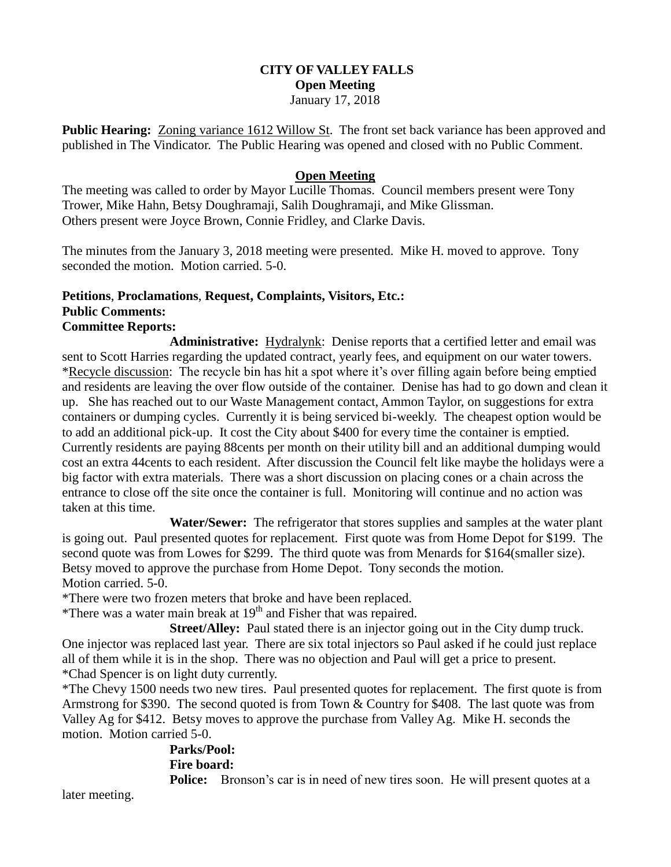## **CITY OF VALLEY FALLS Open Meeting** January 17, 2018

**Public Hearing:** Zoning variance 1612 Willow St. The front set back variance has been approved and published in The Vindicator. The Public Hearing was opened and closed with no Public Comment.

# **Open Meeting**

The meeting was called to order by Mayor Lucille Thomas. Council members present were Tony Trower, Mike Hahn, Betsy Doughramaji, Salih Doughramaji, and Mike Glissman. Others present were Joyce Brown, Connie Fridley, and Clarke Davis.

The minutes from the January 3, 2018 meeting were presented. Mike H. moved to approve. Tony seconded the motion. Motion carried. 5-0.

# **Petitions**, **Proclamations**, **Request, Complaints, Visitors, Etc.: Public Comments:**

### **Committee Reports:**

**Administrative:** Hydralynk: Denise reports that a certified letter and email was sent to Scott Harries regarding the updated contract, yearly fees, and equipment on our water towers. \*Recycle discussion: The recycle bin has hit a spot where it's over filling again before being emptied and residents are leaving the over flow outside of the container. Denise has had to go down and clean it up. She has reached out to our Waste Management contact, Ammon Taylor, on suggestions for extra containers or dumping cycles. Currently it is being serviced bi-weekly. The cheapest option would be to add an additional pick-up. It cost the City about \$400 for every time the container is emptied. Currently residents are paying 88cents per month on their utility bill and an additional dumping would cost an extra 44cents to each resident. After discussion the Council felt like maybe the holidays were a big factor with extra materials. There was a short discussion on placing cones or a chain across the entrance to close off the site once the container is full. Monitoring will continue and no action was taken at this time.

**Water/Sewer:** The refrigerator that stores supplies and samples at the water plant is going out. Paul presented quotes for replacement. First quote was from Home Depot for \$199. The second quote was from Lowes for \$299. The third quote was from Menards for \$164(smaller size). Betsy moved to approve the purchase from Home Depot. Tony seconds the motion. Motion carried. 5-0.

\*There were two frozen meters that broke and have been replaced.

\*There was a water main break at  $19<sup>th</sup>$  and Fisher that was repaired.

**Street/Alley:** Paul stated there is an injector going out in the City dump truck. One injector was replaced last year. There are six total injectors so Paul asked if he could just replace all of them while it is in the shop. There was no objection and Paul will get a price to present. \*Chad Spencer is on light duty currently.

\*The Chevy 1500 needs two new tires. Paul presented quotes for replacement. The first quote is from Armstrong for \$390. The second quoted is from Town & Country for \$408. The last quote was from Valley Ag for \$412. Betsy moves to approve the purchase from Valley Ag. Mike H. seconds the motion. Motion carried 5-0.

# **Parks/Pool: Fire board:**

**Police:** Bronson's car is in need of new tires soon. He will present quotes at a

later meeting.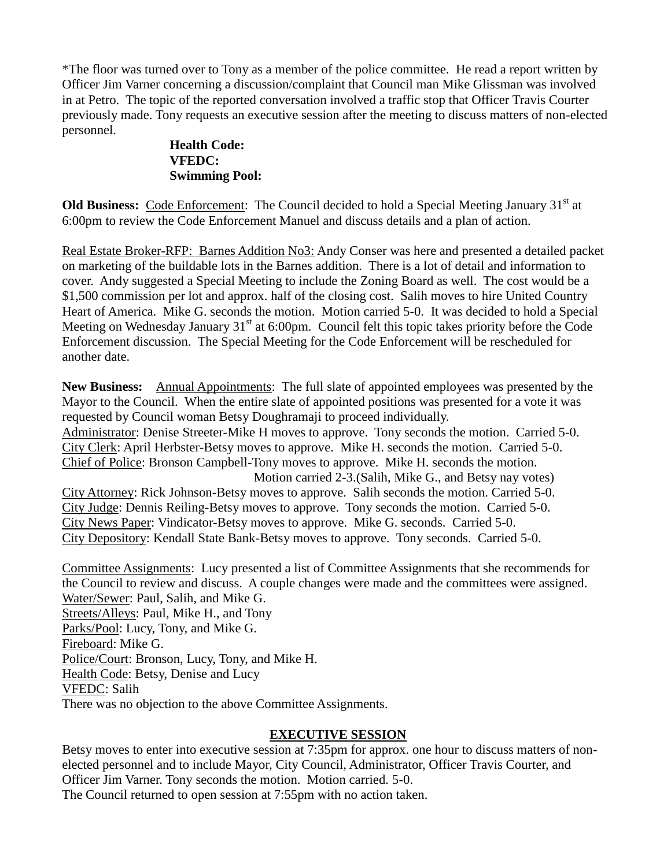\*The floor was turned over to Tony as a member of the police committee. He read a report written by Officer Jim Varner concerning a discussion/complaint that Council man Mike Glissman was involved in at Petro. The topic of the reported conversation involved a traffic stop that Officer Travis Courter previously made. Tony requests an executive session after the meeting to discuss matters of non-elected personnel.

# **Health Code: VFEDC: Swimming Pool:**

**Old Business:** Code Enforcement: The Council decided to hold a Special Meeting January 31<sup>st</sup> at 6:00pm to review the Code Enforcement Manuel and discuss details and a plan of action.

Real Estate Broker-RFP: Barnes Addition No3: Andy Conser was here and presented a detailed packet on marketing of the buildable lots in the Barnes addition. There is a lot of detail and information to cover. Andy suggested a Special Meeting to include the Zoning Board as well. The cost would be a \$1,500 commission per lot and approx. half of the closing cost. Salih moves to hire United Country Heart of America. Mike G. seconds the motion. Motion carried 5-0. It was decided to hold a Special Meeting on Wednesday January  $31<sup>st</sup>$  at 6:00pm. Council felt this topic takes priority before the Code Enforcement discussion. The Special Meeting for the Code Enforcement will be rescheduled for another date.

**New Business:** Annual Appointments: The full slate of appointed employees was presented by the Mayor to the Council. When the entire slate of appointed positions was presented for a vote it was requested by Council woman Betsy Doughramaji to proceed individually. Administrator: Denise Streeter-Mike H moves to approve. Tony seconds the motion. Carried 5-0. City Clerk: April Herbster-Betsy moves to approve. Mike H. seconds the motion. Carried 5-0. Chief of Police: Bronson Campbell-Tony moves to approve. Mike H. seconds the motion. Motion carried 2-3.(Salih, Mike G., and Betsy nay votes) City Attorney: Rick Johnson-Betsy moves to approve. Salih seconds the motion. Carried 5-0. City Judge: Dennis Reiling-Betsy moves to approve. Tony seconds the motion. Carried 5-0. City News Paper: Vindicator-Betsy moves to approve. Mike G. seconds. Carried 5-0. City Depository: Kendall State Bank-Betsy moves to approve. Tony seconds. Carried 5-0.

Committee Assignments: Lucy presented a list of Committee Assignments that she recommends for the Council to review and discuss. A couple changes were made and the committees were assigned. Water/Sewer: Paul, Salih, and Mike G. Streets/Alleys: Paul, Mike H., and Tony Parks/Pool: Lucy, Tony, and Mike G. Fireboard: Mike G. Police/Court: Bronson, Lucy, Tony, and Mike H. Health Code: Betsy, Denise and Lucy VFEDC: Salih There was no objection to the above Committee Assignments.

# **EXECUTIVE SESSION**

Betsy moves to enter into executive session at 7:35pm for approx. one hour to discuss matters of nonelected personnel and to include Mayor, City Council, Administrator, Officer Travis Courter, and Officer Jim Varner. Tony seconds the motion. Motion carried. 5-0. The Council returned to open session at 7:55pm with no action taken.